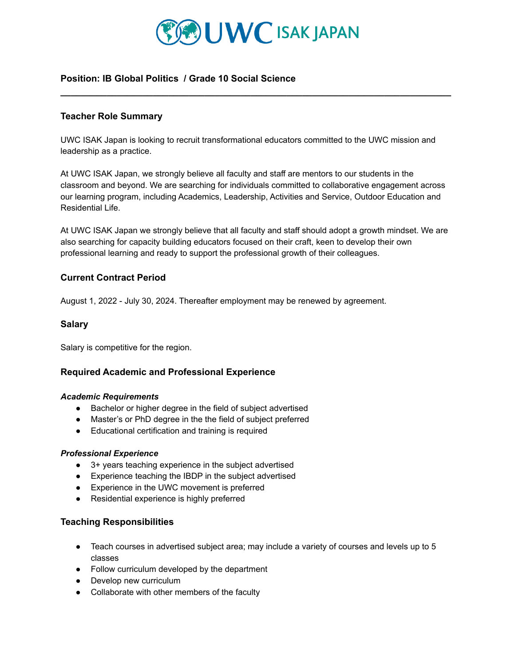

**\_\_\_\_\_\_\_\_\_\_\_\_\_\_\_\_\_\_\_\_\_\_\_\_\_\_\_\_\_\_\_\_\_\_\_\_\_\_\_\_\_\_\_\_\_\_\_\_\_\_\_\_\_\_\_\_\_\_\_\_\_\_\_\_\_\_\_\_\_\_\_\_\_\_\_\_**

# **Position: IB Global Politics / Grade 10 Social Science**

## **Teacher Role Summary**

UWC ISAK Japan is looking to recruit transformational educators committed to the UWC mission and leadership as a practice.

At UWC ISAK Japan, we strongly believe all faculty and staff are mentors to our students in the classroom and beyond. We are searching for individuals committed to collaborative engagement across our learning program, including Academics, Leadership, Activities and Service, Outdoor Education and Residential Life.

At UWC ISAK Japan we strongly believe that all faculty and staff should adopt a growth mindset. We are also searching for capacity building educators focused on their craft, keen to develop their own professional learning and ready to support the professional growth of their colleagues.

# **Current Contract Period**

August 1, 2022 - July 30, 2024. Thereafter employment may be renewed by agreement.

## **Salary**

Salary is competitive for the region.

## **Required Academic and Professional Experience**

#### *Academic Requirements*

- Bachelor or higher degree in the field of subject advertised
- Master's or PhD degree in the the field of subject preferred
- Educational certification and training is required

#### *Professional Experience*

- 3+ years teaching experience in the subject advertised
- Experience teaching the IBDP in the subject advertised
- Experience in the UWC movement is preferred
- Residential experience is highly preferred

## **Teaching Responsibilities**

- Teach courses in advertised subject area; may include a variety of courses and levels up to 5 classes
- Follow curriculum developed by the department
- Develop new curriculum
- Collaborate with other members of the faculty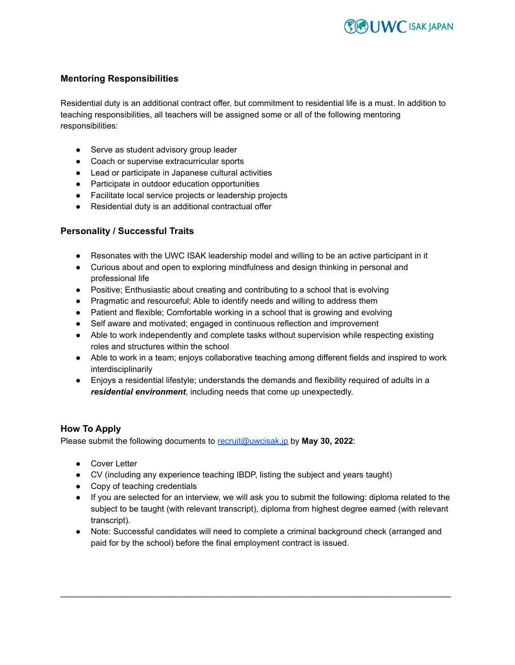

# **Mentoring Responsibilities**

Residential duty is an additional contract offer, but commitment to residential life is a must. In addition to teaching responsibilities, all teachers will be assigned some or all of the following mentoring responsibilities:

- Serve as student advisory group leader
- Coach or supervise extracurricular sports
- Lead or participate in Japanese cultural activities
- Participate in outdoor education opportunities
- Facilitate local service projects or leadership projects
- Residential duty is an additional contractual offer

## **Personality / Successful Traits**

- Resonates with the UWC ISAK leadership model and willing to be an active participant in it
- Curious about and open to exploring mindfulness and design thinking in personal and professional life
- Positive; Enthusiastic about creating and contributing to a school that is evolving
- Pragmatic and resourceful; Able to identify needs and willing to address them
- Patient and flexible; Comfortable working in a school that is growing and evolving
- Self aware and motivated; engaged in continuous reflection and improvement
- Able to work independently and complete tasks without supervision while respecting existing roles and structures within the school
- Able to work in a team; enjoys collaborative teaching among different fields and inspired to work interdisciplinarily
- Enjoys a residential lifestyle; understands the demands and flexibility required of adults in a *residential environment*, including needs that come up unexpectedly.

# **How To Apply**

Please submit the following documents to [recruit@uwcisak.jp](mailto:recruit@uwcisak.jp) by **May 30, 2022**:

- Cover Letter
- CV (including any experience teaching IBDP, listing the subject and years taught)
- Copy of teaching credentials
- If you are selected for an interview, we will ask you to submit the following: diploma related to the subject to be taught (with relevant transcript), diploma from highest degree earned (with relevant transcript).
- Note: Successful candidates will need to complete a criminal background check (arranged and paid for by the school) before the final employment contract is issued.

\_\_\_\_\_\_\_\_\_\_\_\_\_\_\_\_\_\_\_\_\_\_\_\_\_\_\_\_\_\_\_\_\_\_\_\_\_\_\_\_\_\_\_\_\_\_\_\_\_\_\_\_\_\_\_\_\_\_\_\_\_\_\_\_\_\_\_\_\_\_\_\_\_\_\_\_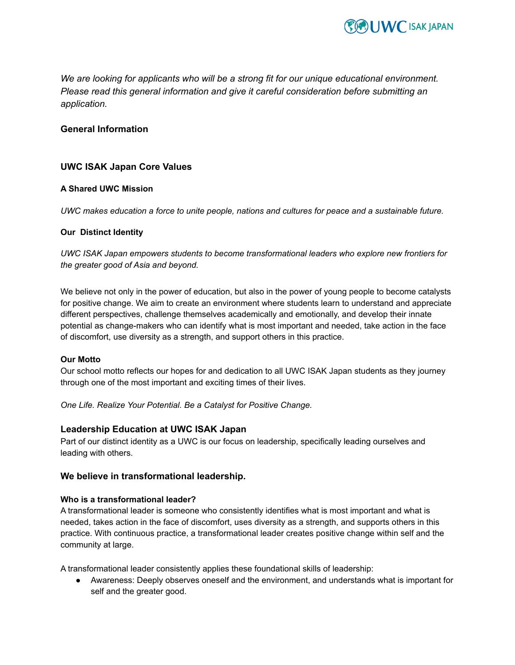

*We are looking for applicants who will be a strong fit for our unique educational environment. Please read this general information and give it careful consideration before submitting an application.*

## **General Information**

## **UWC ISAK Japan Core Values**

#### **A Shared UWC Mission**

*UWC makes education a force to unite people, nations and cultures for peace and a sustainable future.*

#### **Our Distinct Identity**

*UWC ISAK Japan empowers students to become transformational leaders who explore new frontiers for the greater good of Asia and beyond.*

We believe not only in the power of education, but also in the power of young people to become catalysts for positive change. We aim to create an environment where students learn to understand and appreciate different perspectives, challenge themselves academically and emotionally, and develop their innate potential as change-makers who can identify what is most important and needed, take action in the face of discomfort, use diversity as a strength, and support others in this practice.

#### **Our Motto**

Our school motto reflects our hopes for and dedication to all UWC ISAK Japan students as they journey through one of the most important and exciting times of their lives.

*One Life. Realize Your Potential. Be a Catalyst for Positive Change.*

## **Leadership Education at UWC ISAK Japan**

Part of our distinct identity as a UWC is our focus on leadership, specifically leading ourselves and leading with others.

## **We believe in transformational leadership.**

#### **Who is a transformational leader?**

A [transformational](http://www.japan-guide.com/e/e6030.html) leader is someone who consistently identifies what is most important and what is needed, takes action in the face of [discomfort,](http://www.japan-guide.com/e/e6030.html) uses diversity as a strength, and supports others in this practice. With continuous practice, a [transformational](http://www.japan-guide.com/e/e6030.html) leader creates positive change within self and the [community](http://www.japan-guide.com/e/e6030.html) at large.

A transformational leader consistently applies these foundational skills of leadership:

● Awareness: Deeply observes oneself and the environment, and understands what is important for self and the greater good.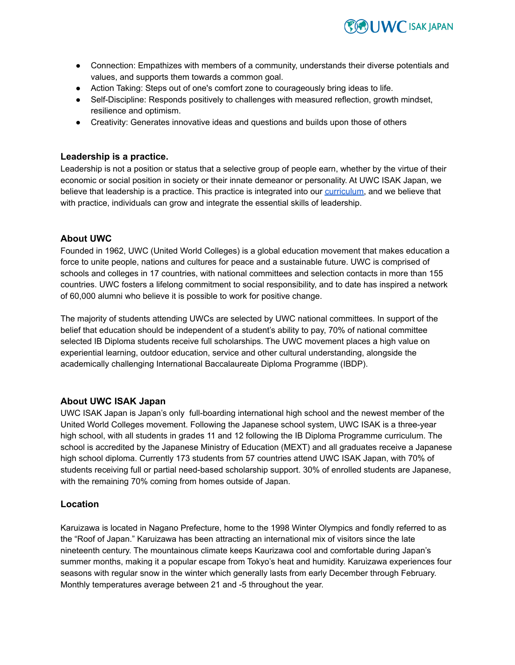

- Connection: Empathizes with members of a community, understands their diverse potentials and values, and supports them towards a common goal.
- Action Taking: Steps out of one's comfort zone to courageously bring ideas to life.
- Self-Discipline: Responds positively to challenges with measured reflection, growth mindset, resilience and optimism.
- Creativity: Generates innovative ideas and questions and builds upon those of others

#### **Leadership is a practice[.](https://uwcisak.jp/education/leadership/)**

Leadership is not a position or status that a selective group of people earn, whether by the virtue of their economic or social position in society or their innate demeanor or personality. At UWC ISAK Japan, we believe that leadership is a practice. This practice is integrated into our [curriculum,](https://uwcisak.jp/education/leadership/) and we believe that with practice, individuals can grow and integrate the essential skills of leadership.

#### **About UWC**

Founded in 1962, UWC (United World Colleges) is a global education movement that makes education a force to unite people, nations and cultures for peace and a sustainable future. UWC is comprised of schools and colleges in 17 countries, with national committees and selection contacts in more than 155 countries. UWC fosters a lifelong commitment to social responsibility, and to date has inspired a network of 60,000 alumni who believe it is possible to work for positive change.

The majority of students attending UWCs are selected by UWC national committees. In support of the belief that education should be independent of a student's ability to pay, 70% of national committee selected IB Diploma students receive full scholarships. The UWC movement places a high value on experiential learning, outdoor education, service and other cultural understanding, alongside the academically challenging International Baccalaureate Diploma Programme (IBDP).

## **About UWC ISAK Japan**

UWC ISAK Japan is Japan's only full-boarding international high school and the newest member of the United World Colleges movement. Following the Japanese school system, UWC ISAK is a three-year high school, with all students in grades 11 and 12 following the IB Diploma Programme curriculum. The school is accredited by the Japanese Ministry of Education (MEXT) and all graduates receive a Japanese high school diploma. Currently 173 students from 57 countries attend UWC ISAK Japan, with 70% of students receiving full or partial need-based scholarship support. 30% of enrolled students are Japanese, with the remaining 70% coming from homes outside of Japan.

#### **Location**

Karuizawa is located in Nagano Prefecture, home to the 1998 Winter Olympics and fondly referred to as the "Roof of Japan." Karuizawa has been attracting an international mix of visitors since the late nineteenth century. The mountainous climate keeps Kaurizawa cool and comfortable during Japan's summer months, making it a popular escape from Tokyo's heat and humidity. Karuizawa experiences four seasons with regular snow in the winter which generally lasts from early December through February. Monthly temperatures average between 21 and -5 throughout the year.